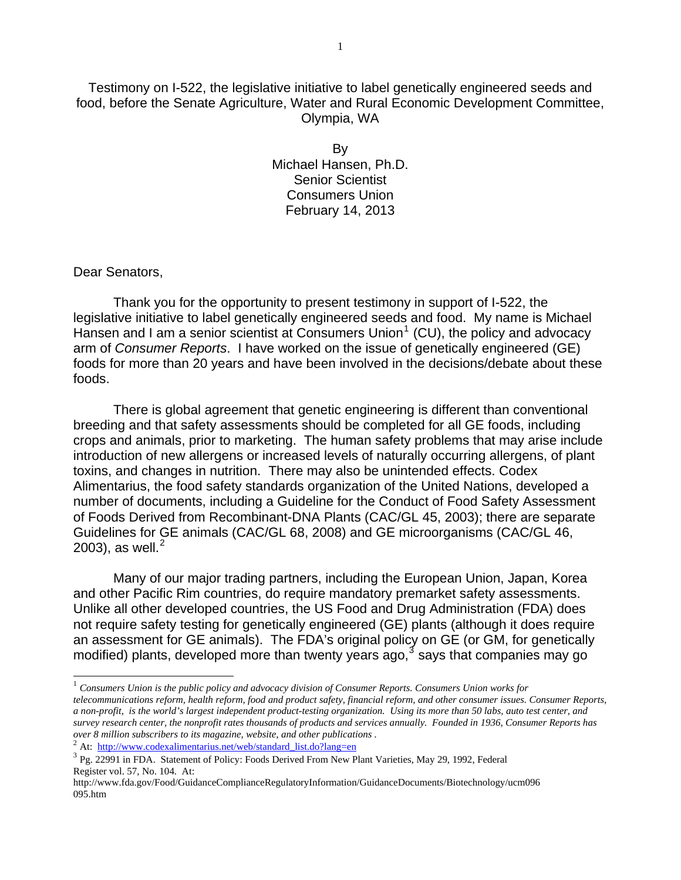Testimony on I-522, the legislative initiative to label genetically engineered seeds and food, before the Senate Agriculture, Water and Rural Economic Development Committee, Olympia, WA

> By Michael Hansen, Ph.D. Senior Scientist Consumers Union February 14, 2013

## Dear Senators,

1

Thank you for the opportunity to present testimony in support of I-522, the legislative initiative to label genetically engineered seeds and food. My name is Michael Hansen and I am a senior scientist at Consumers Union<sup>[1](#page-0-0)</sup> (CU), the policy and advocacy arm of *Consumer Reports*. I have worked on the issue of genetically engineered (GE) foods for more than 20 years and have been involved in the decisions/debate about these foods.

There is global agreement that genetic engineering is different than conventional breeding and that safety assessments should be completed for all GE foods, including crops and animals, prior to marketing. The human safety problems that may arise include introduction of new allergens or increased levels of naturally occurring allergens, of plant toxins, and changes in nutrition. There may also be unintended effects. Codex Alimentarius, the food safety standards organization of the United Nations, developed a number of documents, including a Guideline for the Conduct of Food Safety Assessment of Foods Derived from Recombinant-DNA Plants (CAC/GL 45, 2003); there are separate Guidelines for GE animals (CAC/GL 68, 2008) and GE microorganisms (CAC/GL 46, [2](#page-0-1)003), as well.<sup>2</sup>

Many of our major trading partners, including the European Union, Japan, Korea and other Pacific Rim countries, do require mandatory premarket safety assessments. Unlike all other developed countries, the US Food and Drug Administration (FDA) does not require safety testing for genetically engineered (GE) plants (although it does require an assessment for GE animals). The FDA's original policy on GE (or GM, for genetically modified) plants, developed more than twenty years ago,  $3$  says that companies may go

<span id="page-0-2"></span><span id="page-0-1"></span>

<span id="page-0-0"></span><sup>1</sup> *Consumers Union is the public policy and advocacy division of Consumer Reports. Consumers Union works for telecommunications reform, health reform, food and product safety, financial reform, and other consumer issues. Consumer Reports, a non-profit, is the world's largest independent product-testing organization. Using its more than 50 labs, auto test center, and survey research center, the nonprofit rates thousands of products and services annually. Founded in 1936, Consumer Reports has*

<sup>&</sup>lt;sup>2</sup> At: http://www.codexalimentarius.net/web/standard list.do?lang=en<br><sup>3</sup> Pg. 22991 in FDA. Statement of Policy: Foods Derived From New Plant Varieties, May 29, 1992, Federal Register vol. 57, No. 104. At:

http://www.fda.gov/Food/GuidanceComplianceRegulatoryInformation/GuidanceDocuments/Biotechnology/ucm096 095.htm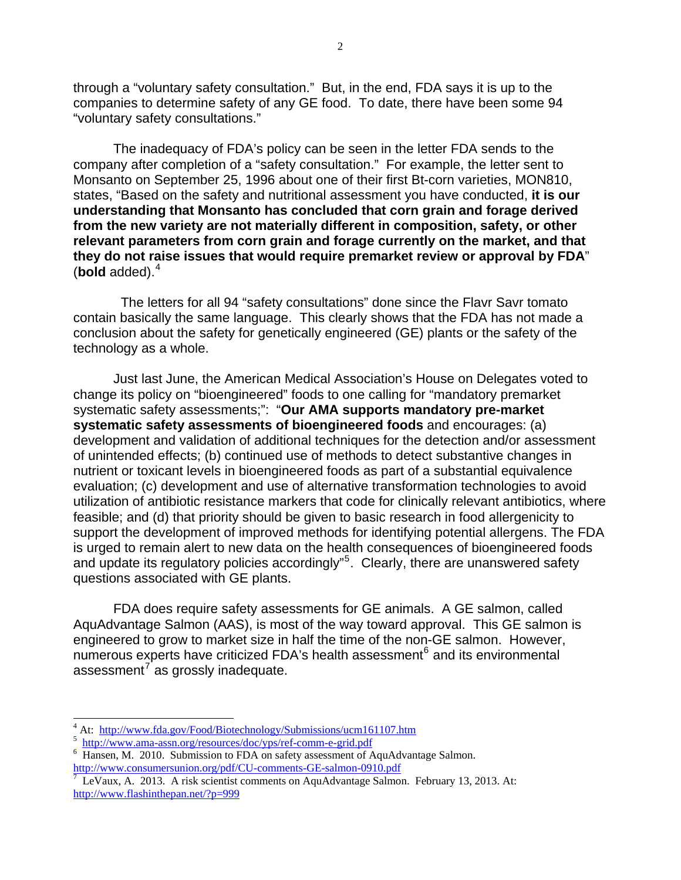through a "voluntary safety consultation." But, in the end, FDA says it is up to the companies to determine safety of any GE food. To date, there have been some 94 "voluntary safety consultations."

The inadequacy of FDA's policy can be seen in the letter FDA sends to the company after completion of a "safety consultation." For example, the letter sent to Monsanto on September 25, 1996 about one of their first Bt-corn varieties, MON810, states, "Based on the safety and nutritional assessment you have conducted, **it is our understanding that Monsanto has concluded that corn grain and forage derived from the new variety are not materially different in composition, safety, or other relevant parameters from corn grain and forage currently on the market, and that they do not raise issues that would require premarket review or approval by FDA**" (**bold** added).[4](#page-1-0)

 The letters for all 94 "safety consultations" done since the Flavr Savr tomato contain basically the same language. This clearly shows that the FDA has not made a conclusion about the safety for genetically engineered (GE) plants or the safety of the technology as a whole.

Just last June, the American Medical Association's House on Delegates voted to change its policy on "bioengineered" foods to one calling for "mandatory premarket systematic safety assessments;": "**Our AMA supports mandatory pre-market systematic safety assessments of bioengineered foods** and encourages: (a) development and validation of additional techniques for the detection and/or assessment of unintended effects; (b) continued use of methods to detect substantive changes in nutrient or toxicant levels in bioengineered foods as part of a substantial equivalence evaluation; (c) development and use of alternative transformation technologies to avoid utilization of antibiotic resistance markers that code for clinically relevant antibiotics, where feasible; and (d) that priority should be given to basic research in food allergenicity to support the development of improved methods for identifying potential allergens. The FDA is urged to remain alert to new data on the health consequences of bioengineered foods and update its regulatory policies accordingly"<sup>[5](#page-1-1)</sup>. Clearly, there are unanswered safety questions associated with GE plants.

FDA does require safety assessments for GE animals. A GE salmon, called AquAdvantage Salmon (AAS), is most of the way toward approval. This GE salmon is engineered to grow to market size in half the time of the non-GE salmon. However, numerous experts have criticized FDA's health assessment<sup>[6](#page-1-2)</sup> and its environmental assessment $\overline{r}$  as grossly inadequate.

<span id="page-1-0"></span><sup>4&</sup>lt;br>
4 At: <http://www.fda.gov/Food/Biotechnology/Submissions/ucm161107.htm><br>
5 http://www.ema.gora.grg/recources/doo/yng/raf.gomm.e.grid.pdf

<span id="page-1-1"></span><http://www.ama-assn.org/resources/doc/yps/ref-comm-e-grid.pdf>6

<span id="page-1-2"></span><sup>&</sup>lt;sup>6</sup> Hansen, M. 2010. Submission to FDA on safety assessment of AquAdvantage Salmon.

<span id="page-1-3"></span>http://www.consumersunion.org/pdf/CU-comments-GE-salmon-0910.pdf<br><sup>7</sup> LeVaux, A. 2013. A risk scientist comments on AquAdvantage Salmon. February 13, 2013. At: <http://www.flashinthepan.net/?p=999>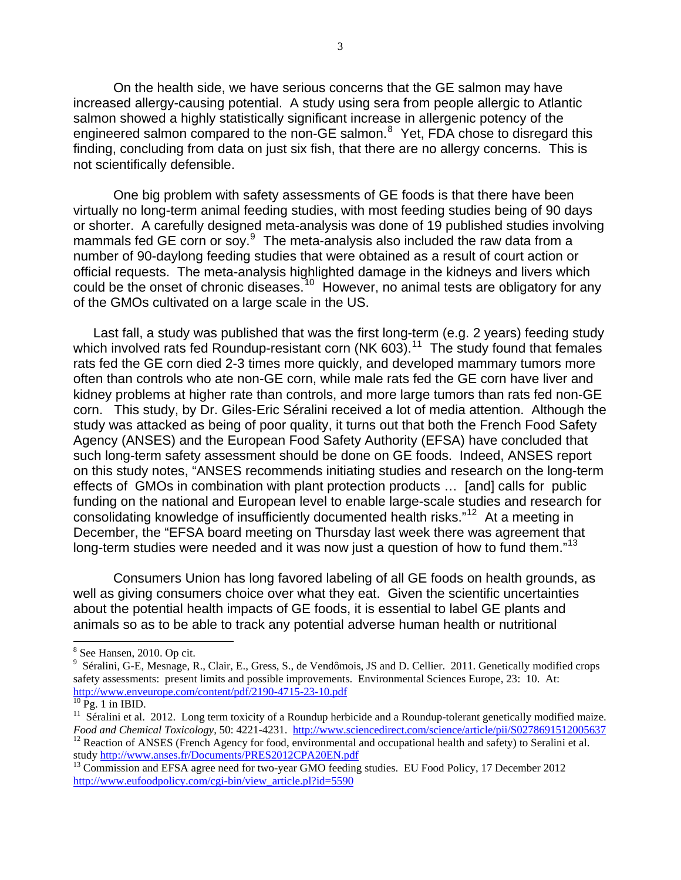On the health side, we have serious concerns that the GE salmon may have increased allergy-causing potential. A study using sera from people allergic to Atlantic salmon showed a highly statistically significant increase in allergenic potency of the engineered salmon compared to the non-GE salmon.<sup>[8](#page-2-0)</sup> Yet, FDA chose to disregard this finding, concluding from data on just six fish, that there are no allergy concerns. This is not scientifically defensible.

One big problem with safety assessments of GE foods is that there have been virtually no long-term animal feeding studies, with most feeding studies being of 90 days or shorter. A carefully designed meta-analysis was done of 19 published studies involving mammals fed GE corn or soy.<sup>[9](#page-2-1)</sup> The meta-analysis also included the raw data from a number of 90-daylong feeding studies that were obtained as a result of court action or official requests. The meta-analysis highlighted damage in the kidneys and livers which could be the onset of chronic diseases.<sup>[10](#page-2-2)</sup> However, no animal tests are obligatory for any of the GMOs cultivated on a large scale in the US.

Last fall, a study was published that was the first long-term (e.g. 2 years) feeding study which involved rats fed Roundup-resistant corn (NK  $603$ ).<sup>[11](#page-2-3)</sup> The study found that females rats fed the GE corn died 2-3 times more quickly, and developed mammary tumors more often than controls who ate non-GE corn, while male rats fed the GE corn have liver and kidney problems at higher rate than controls, and more large tumors than rats fed non-GE corn. This study, by Dr. Giles-Eric Séralini received a lot of media attention. Although the study was attacked as being of poor quality, it turns out that both the French Food Safety Agency (ANSES) and the European Food Safety Authority (EFSA) have concluded that such long-term safety assessment should be done on GE foods. Indeed, ANSES report on this study notes, "ANSES recommends initiating studies and research on the long-term effects of GMOs in combination with plant protection products … [and] calls for public funding on the national and European level to enable large-scale studies and research for consolidating knowledge of insufficiently documented health risks."[12](#page-2-4) At a meeting in December, the "EFSA board meeting on Thursday last week there was agreement that long-term studies were needed and it was now just a question of how to fund them."<sup>[13](#page-2-5)</sup>

Consumers Union has long favored labeling of all GE foods on health grounds, as well as giving consumers choice over what they eat. Given the scientific uncertainties about the potential health impacts of GE foods, it is essential to label GE plants and animals so as to be able to track any potential adverse human health or nutritional

-

<span id="page-2-0"></span><sup>8</sup> See Hansen, 2010. Op cit.

<span id="page-2-1"></span><sup>&</sup>lt;sup>9</sup> Séralini, G-E, Mesnage, R., Clair, E., Gress, S., de Vendômois, JS and D. Cellier. 2011. Genetically modified crops safety assessments: present limits and possible improvements. Environmental Sciences Europe, 23: 10. At: <http://www.enveurope.com/content/pdf/2190-4715-23-10.pdf><br><sup>[10](http://www.enveurope.com/content/pdf/2190-4715-23-10.pdf)</sup> Pg. 1 in IBID.

<span id="page-2-3"></span><span id="page-2-2"></span><sup>&</sup>lt;sup>11</sup> Séralini et al. 2012. Long term toxicity of a Roundup herbicide and a Roundup-tolerant genetically modified maize.<br>Food and Chemical Toxicology, 50: 4221-4231. http://www.sciencedirect.com/science/article/pii/S027869

<span id="page-2-4"></span><sup>&</sup>lt;sup>12</sup> Reaction of ANSES (French Agency for food, environmental and occupational health and safety) to Seralini et al.<br>study http://www.anses.fr/Documents/PRES2012CPA20EN.pdf

<span id="page-2-5"></span> $13$  Commission and EFSA agree need for two-year GMO feeding studies. EU Food Policy, 17 December 2012 http://www.eufoodpolicy.com/cgi-bin/view\_article.pl?id=5590